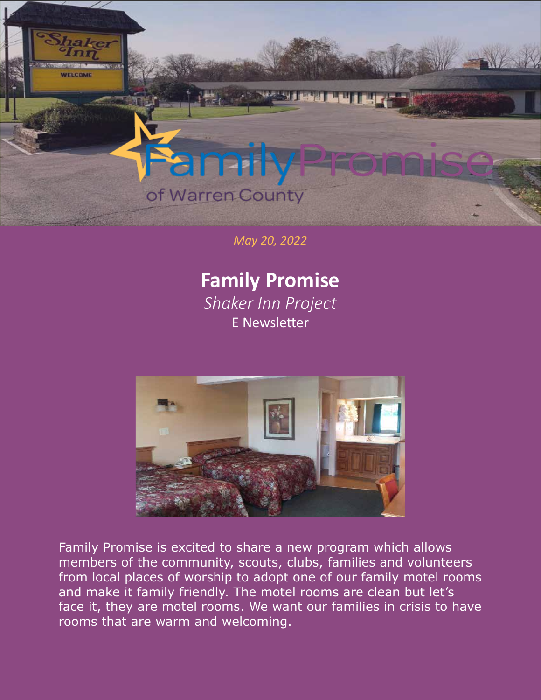

## of Warren County

*May 20, 2022*

## **Family Promise**

*Shaker Inn Project*  E Newsletter



Family Promise is excited to share a new program which allows members of the community, scouts, clubs, families and volunteers from local places of worship to adopt one of our family motel rooms and make it family friendly. The motel rooms are clean but let's face it, they are motel rooms. We want our families in crisis to have rooms that are warm and welcoming.